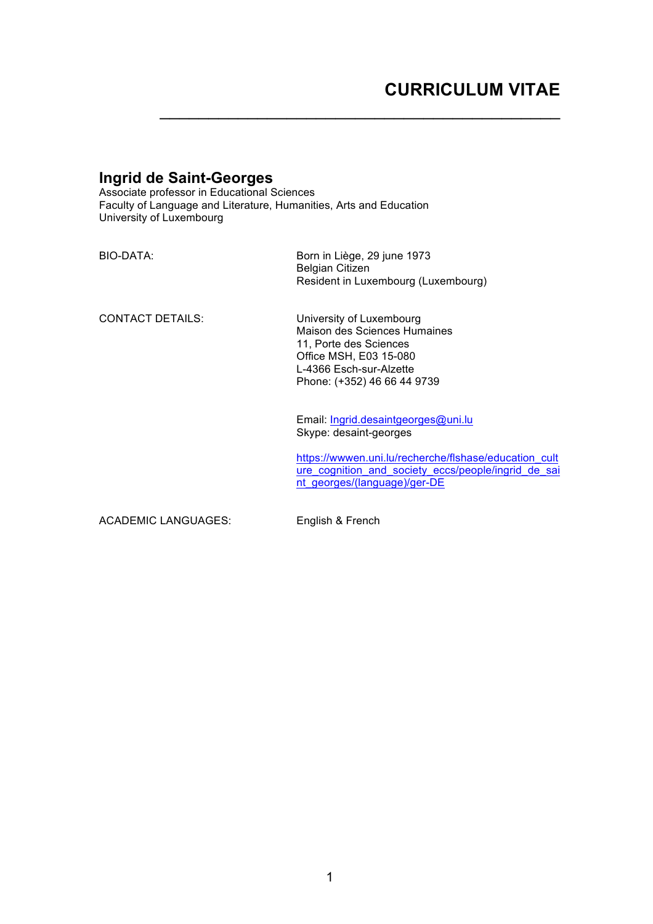# **CURRICULUM VITAE**

## **Ingrid de Saint-Georges**

Associate professor in Educational Sciences Faculty of Language and Literature, Humanities, Arts and Education University of Luxembourg

| BIO-DATA:               | Born in Liège, 29 june 1973<br><b>Belgian Citizen</b><br>Resident in Luxembourg (Luxembourg)                                                                           |
|-------------------------|------------------------------------------------------------------------------------------------------------------------------------------------------------------------|
| <b>CONTACT DETAILS:</b> | University of Luxembourg<br>Maison des Sciences Humaines<br>11, Porte des Sciences<br>Office MSH, E03 15-080<br>L-4366 Esch-sur-Alzette<br>Phone: (+352) 46 66 44 9739 |
|                         | Email: Ingrid.desaintgeorges@uni.lu<br>Skype: desaint-georges                                                                                                          |
|                         | https://wwwen.uni.lu/recherche/flshase/education cult<br>ure cognition and society eccs/people/ingrid de sai<br>nt georges/(language)/ger-DE                           |

ACADEMIC LANGUAGES: English & French

 $\mathcal{L}_\mathcal{L}$  , which is a set of the set of the set of the set of the set of the set of the set of the set of the set of the set of the set of the set of the set of the set of the set of the set of the set of the set of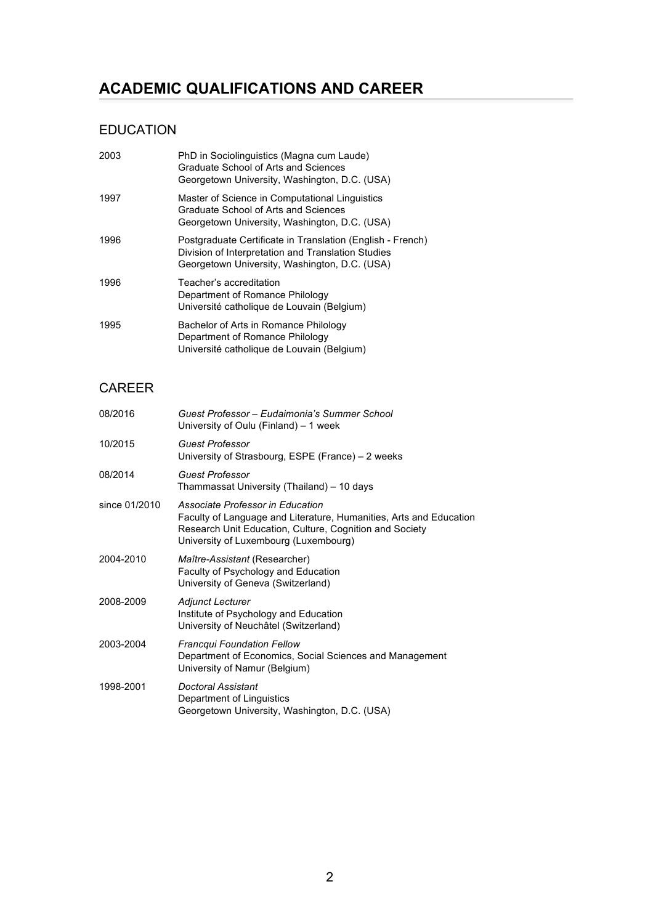# **ACADEMIC QUALIFICATIONS AND CAREER**

## EDUCATION

| 2003 | PhD in Sociolinguistics (Magna cum Laude)<br>Graduate School of Arts and Sciences<br>Georgetown University, Washington, D.C. (USA)                                |
|------|-------------------------------------------------------------------------------------------------------------------------------------------------------------------|
| 1997 | Master of Science in Computational Linguistics<br>Graduate School of Arts and Sciences<br>Georgetown University, Washington, D.C. (USA)                           |
| 1996 | Postgraduate Certificate in Translation (English - French)<br>Division of Interpretation and Translation Studies<br>Georgetown University, Washington, D.C. (USA) |
| 1996 | Teacher's accreditation<br>Department of Romance Philology<br>Université catholique de Louvain (Belgium)                                                          |
| 1995 | Bachelor of Arts in Romance Philology<br>Department of Romance Philology<br>Université catholique de Louvain (Belgium)                                            |

## CAREER

| Guest Professor – Eudaimonia's Summer School<br>University of Oulu (Finland) – 1 week                                                                                                                      |
|------------------------------------------------------------------------------------------------------------------------------------------------------------------------------------------------------------|
| <b>Guest Professor</b><br>University of Strasbourg, ESPE (France) – 2 weeks                                                                                                                                |
| <b>Guest Professor</b><br>Thammassat University (Thailand) – 10 days                                                                                                                                       |
| Associate Professor in Education<br>Faculty of Language and Literature, Humanities, Arts and Education<br>Research Unit Education, Culture, Cognition and Society<br>University of Luxembourg (Luxembourg) |
| Maître-Assistant (Researcher)<br>Faculty of Psychology and Education<br>University of Geneva (Switzerland)                                                                                                 |
| <b>Adjunct Lecturer</b><br>Institute of Psychology and Education<br>University of Neuchâtel (Switzerland)                                                                                                  |
| <b>Francqui Foundation Fellow</b><br>Department of Economics, Social Sciences and Management<br>University of Namur (Belgium)                                                                              |
| Doctoral Assistant<br>Department of Linguistics<br>Georgetown University, Washington, D.C. (USA)                                                                                                           |
|                                                                                                                                                                                                            |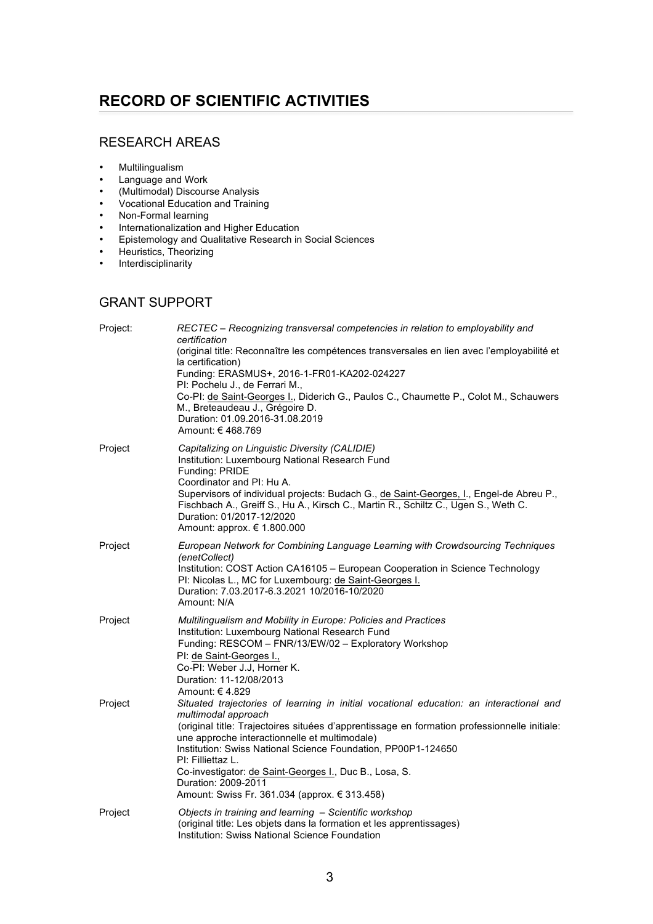# **RECORD OF SCIENTIFIC ACTIVITIES**

## RESEARCH AREAS

- Multilingualism<br>• Language and
- Language and Work
- (Multimodal) Discourse Analysis
- Vocational Education and Training
- Non-Formal learning
- Internationalization and Higher Education<br>• Foistemology and Qualitative Research in
- Epistemology and Qualitative Research in Social Sciences<br>• Heuristics. Theorizing
- Heuristics, Theorizing<br>• Interdisciplinarity
- **Interdisciplinarity**

## GRANT SUPPORT

| Project: | RECTEC - Recognizing transversal competencies in relation to employability and<br>certification<br>(original title: Reconnaître les compétences transversales en lien avec l'employabilité et<br>la certification)<br>Funding: ERASMUS+, 2016-1-FR01-KA202-024227<br>PI: Pochelu J., de Ferrari M.,<br>Co-PI: de Saint-Georges I., Diderich G., Paulos C., Chaumette P., Colot M., Schauwers<br>M., Breteaudeau J., Grégoire D.<br>Duration: 01.09.2016-31.08.2019<br>Amount: € 468.769 |
|----------|-----------------------------------------------------------------------------------------------------------------------------------------------------------------------------------------------------------------------------------------------------------------------------------------------------------------------------------------------------------------------------------------------------------------------------------------------------------------------------------------|
| Project  | Capitalizing on Linguistic Diversity (CALIDIE)<br>Institution: Luxembourg National Research Fund<br>Funding: PRIDE<br>Coordinator and PI: Hu A.<br>Supervisors of individual projects: Budach G., de Saint-Georges, I., Engel-de Abreu P.,<br>Fischbach A., Greiff S., Hu A., Kirsch C., Martin R., Schiltz C., Ugen S., Weth C.<br>Duration: 01/2017-12/2020<br>Amount: approx. € 1.800.000                                                                                            |
| Project  | European Network for Combining Language Learning with Crowdsourcing Techniques<br>(enetCollect)<br>Institution: COST Action CA16105 - European Cooperation in Science Technology<br>PI: Nicolas L., MC for Luxembourg: de Saint-Georges I.<br>Duration: 7.03.2017-6.3.2021 10/2016-10/2020<br>Amount: N/A                                                                                                                                                                               |
| Project  | Multilingualism and Mobility in Europe: Policies and Practices<br>Institution: Luxembourg National Research Fund<br>Funding: RESCOM - FNR/13/EW/02 - Exploratory Workshop<br>PI: de Saint-Georges I.,<br>Co-PI: Weber J.J, Horner K.<br>Duration: 11-12/08/2013<br>Amount: €4.829                                                                                                                                                                                                       |
| Project  | Situated trajectories of learning in initial vocational education: an interactional and<br>multimodal approach<br>(original title: Trajectoires situées d'apprentissage en formation professionnelle initiale:<br>une approche interactionnelle et multimodale)<br>Institution: Swiss National Science Foundation, PP00P1-124650<br>PI: Filliettaz L.<br>Co-investigator: de Saint-Georges I., Duc B., Losa, S.<br>Duration: 2009-2011<br>Amount: Swiss Fr. 361.034 (approx. € 313.458) |
| Project  | Objects in training and learning - Scientific workshop<br>(original title: Les objets dans la formation et les apprentissages)<br>Institution: Swiss National Science Foundation                                                                                                                                                                                                                                                                                                        |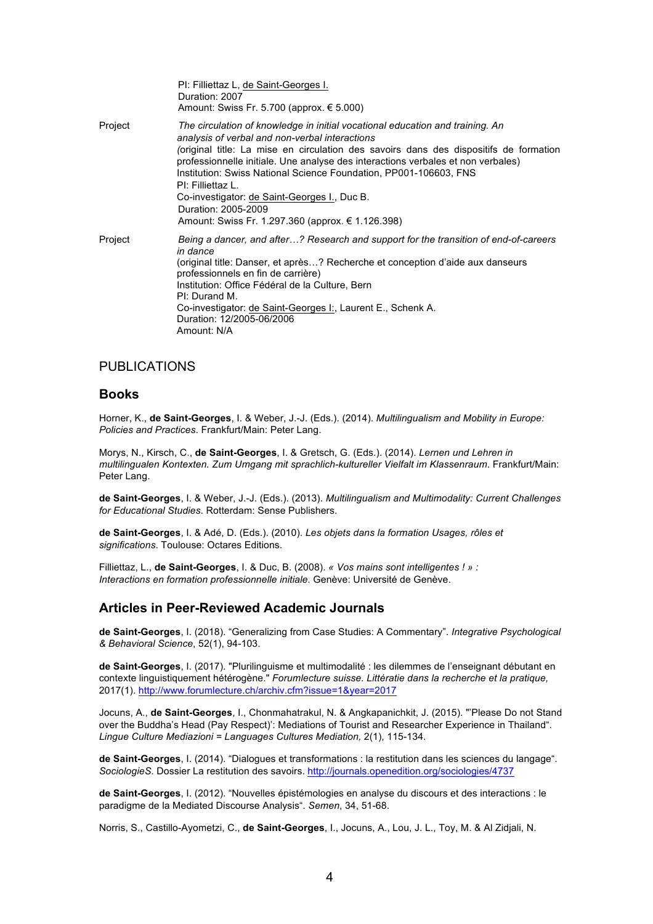|         | PI: Filliettaz L, de Saint-Georges I.<br>Duration: 2007<br>Amount: Swiss Fr. 5.700 (approx. $\epsilon$ 5.000)                                                                                                                                                                                                                                                                                                                                                                                                                     |
|---------|-----------------------------------------------------------------------------------------------------------------------------------------------------------------------------------------------------------------------------------------------------------------------------------------------------------------------------------------------------------------------------------------------------------------------------------------------------------------------------------------------------------------------------------|
| Project | The circulation of knowledge in initial vocational education and training. An<br>analysis of verbal and non-verbal interactions<br>original title: La mise en circulation des savoirs dans des dispositifs de formation<br>professionnelle initiale. Une analyse des interactions verbales et non verbales)<br>Institution: Swiss National Science Foundation, PP001-106603, FNS<br>PI: Filliettaz L.<br>Co-investigator: de Saint-Georges I., Duc B.<br>Duration: 2005-2009<br>Amount: Swiss Fr. 1.297.360 (approx. € 1.126.398) |
| Project | Being a dancer, and after? Research and support for the transition of end-of-careers<br>in dance<br>(original title: Danser, et après? Recherche et conception d'aide aux danseurs<br>professionnels en fin de carrière)<br>Institution: Office Fédéral de la Culture, Bern<br>PI: Durand M.<br>Co-investigator: de Saint-Georges I:, Laurent E., Schenk A.<br>Duration: 12/2005-06/2006<br>Amount: N/A                                                                                                                           |

## PUBLICATIONS

### **Books**

Horner, K., **de Saint-Georges**, I. & Weber, J.-J. (Eds.). (2014). *Multilingualism and Mobility in Europe: Policies and Practices*. Frankfurt/Main: Peter Lang.

Morys, N., Kirsch, C., **de Saint-Georges**, I. & Gretsch, G. (Eds.). (2014). *Lernen und Lehren in multilingualen Kontexten. Zum Umgang mit sprachlich-kultureller Vielfalt im Klassenraum*. Frankfurt/Main: Peter Lang.

**de Saint-Georges**, I. & Weber, J.-J. (Eds.). (2013). *Multilingualism and Multimodality: Current Challenges for Educational Studies*. Rotterdam: Sense Publishers.

**de Saint-Georges**, I. & Adé, D. (Eds.). (2010). *Les objets dans la formation Usages, rôles et significations*. Toulouse: Octares Editions.

Filliettaz, L., **de Saint-Georges**, I. & Duc, B. (2008). *« Vos mains sont intelligentes ! » : Interactions en formation professionnelle initiale*. Genève: Université de Genève.

### **Articles in Peer-Reviewed Academic Journals**

**de Saint-Georges**, I. (2018). "Generalizing from Case Studies: A Commentary". *Integrative Psychological & Behavioral Science*, 52(1), 94-103.

**de Saint-Georges**, I. (2017). "Plurilinguisme et multimodalité : les dilemmes de l'enseignant débutant en contexte linguistiquement hétérogène." *Forumlecture suisse. Littératie dans la recherche et la pratique,*  2017(1).<http://www.forumlecture.ch/archiv.cfm?issue=1&year=2017>

Jocuns, A., **de Saint-Georges**, I., Chonmahatrakul, N. & Angkapanichkit, J. (2015). "'Please Do not Stand over the Buddha's Head (Pay Respect)': Mediations of Tourist and Researcher Experience in Thailand". *Lingue Culture Mediazioni = Languages Cultures Mediation,* 2(1), 115-134.

**de Saint-Georges**, I. (2014). "Dialogues et transformations : la restitution dans les sciences du langage". *SociologieS*. Dossier La restitution des savoirs. <http://journals.openedition.org/sociologies/4737>

**de Saint-Georges**, I. (2012). "Nouvelles épistémologies en analyse du discours et des interactions : le paradigme de la Mediated Discourse Analysis". *Semen*, 34, 51-68.

Norris, S., Castillo-Ayometzi, C., **de Saint-Georges**, I., Jocuns, A., Lou, J. L., Toy, M. & Al Zidjali, N.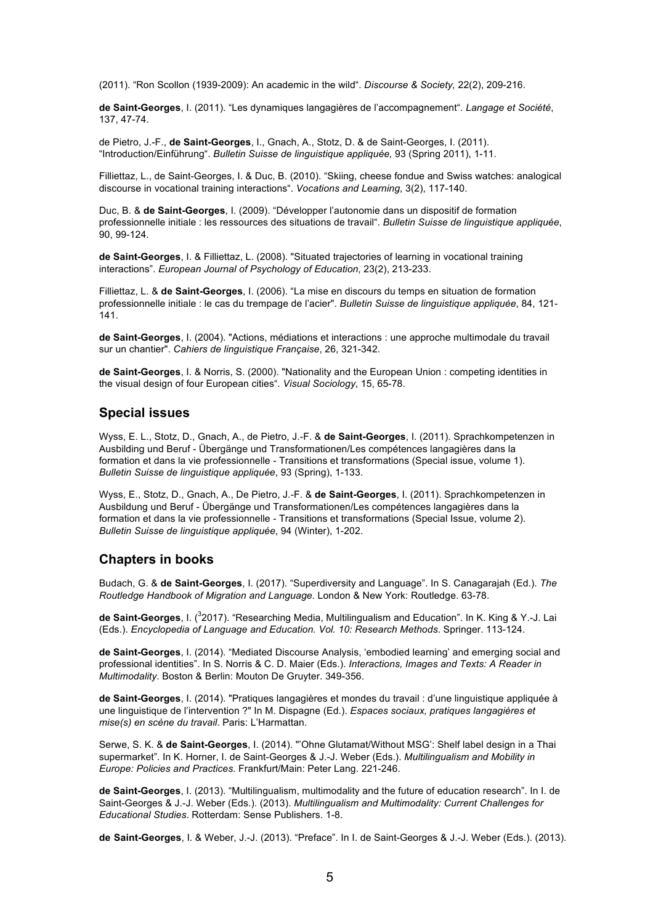(2011). "Ron Scollon (1939-2009): An academic in the wild". *Discourse & Society,* 22(2), 209-216.

**de Saint-Georges**, I. (2011). "Les dynamiques langagières de l'accompagnement". *Langage et Société*, 137, 47-74.

de Pietro, J.-F., **de Saint-Georges**, I., Gnach, A., Stotz, D. & de Saint-Georges, I. (2011). "Introduction/Einführung". *Bulletin Suisse de linguistique appliquée,* 93 (Spring 2011), 1-11.

Filliettaz, L., de Saint-Georges, I. & Duc, B. (2010). "Skiing, cheese fondue and Swiss watches: analogical discourse in vocational training interactions". *Vocations and Learning*, 3(2), 117-140.

Duc, B. & **de Saint-Georges**, I. (2009). "Développer l'autonomie dans un dispositif de formation professionnelle initiale : les ressources des situations de travail". *Bulletin Suisse de linguistique appliquée*, 90, 99-124.

**de Saint-Georges**, I. & Filliettaz, L. (2008). "Situated trajectories of learning in vocational training interactions". *European Journal of Psychology of Education*, 23(2), 213-233.

Filliettaz, L. & **de Saint-Georges**, I. (2006). "La mise en discours du temps en situation de formation professionnelle initiale : le cas du trempage de l'acier". *Bulletin Suisse de linguistique appliquée*, 84, 121- 141.

**de Saint-Georges**, I. (2004). "Actions, médiations et interactions : une approche multimodale du travail sur un chantier". *Cahiers de linguistique Française*, 26, 321-342.

**de Saint-Georges**, I. & Norris, S. (2000). "Nationality and the European Union : competing identities in the visual design of four European cities". *Visual Sociology*, 15, 65-78.

### **Special issues**

Wyss, E. L., Stotz, D., Gnach, A., de Pietro, J.-F. & **de Saint-Georges**, I. (2011). Sprachkompetenzen in Ausbilding und Beruf - Übergänge und Transformationen/Les compétences langagières dans la formation et dans la vie professionnelle - Transitions et transformations (Special issue, volume 1). *Bulletin Suisse de linguistique appliquée*, 93 (Spring), 1-133.

Wyss, E., Stotz, D., Gnach, A., De Pietro, J.-F. & **de Saint-Georges**, I. (2011). Sprachkompetenzen in Ausbildung und Beruf - Übergänge und Transformationen/Les compétences langagières dans la formation et dans la vie professionnelle - Transitions et transformations (Special Issue, volume 2). *Bulletin Suisse de linguistique appliquée*, 94 (Winter), 1-202.

### **Chapters in books**

Budach, G. & **de Saint-Georges**, I. (2017). "Superdiversity and Language". In S. Canagarajah (Ed.). *The Routledge Handbook of Migration and Language*. London & New York: Routledge. 63-78.

de Saint-Georges, I. (<sup>3</sup>2017). "Researching Media, Multilingualism and Education". In K. King & Y.-J. Lai (Eds.). *Encyclopedia of Language and Education. Vol. 10: Research Methods*. Springer. 113-124.

**de Saint-Georges**, I. (2014). "Mediated Discourse Analysis, 'embodied learning' and emerging social and professional identities". In S. Norris & C. D. Maier (Eds.). *Interactions, Images and Texts: A Reader in Multimodality*. Boston & Berlin: Mouton De Gruyter. 349-356.

**de Saint-Georges**, I. (2014). "Pratiques langagières et mondes du travail : d'une linguistique appliquée à une linguistique de l'intervention ?" In M. Dispagne (Ed.). *Espaces sociaux, pratiques langagières et mise(s) en scène du travail*. Paris: L'Harmattan.

Serwe, S. K. & **de Saint-Georges**, I. (2014). "'Ohne Glutamat/Without MSG': Shelf label design in a Thai supermarket". In K. Horner, I. de Saint-Georges & J.-J. Weber (Eds.). *Multilingualism and Mobility in Europe: Policies and Practices*. Frankfurt/Main: Peter Lang. 221-246.

**de Saint-Georges**, I. (2013). "Multilingualism, multimodality and the future of education research". In I. de Saint-Georges & J.-J. Weber (Eds.). (2013). *Multilingualism and Multimodality: Current Challenges for Educational Studies*. Rotterdam: Sense Publishers. 1-8.

**de Saint-Georges**, I. & Weber, J.-J. (2013). "Preface". In I. de Saint-Georges & J.-J. Weber (Eds.). (2013).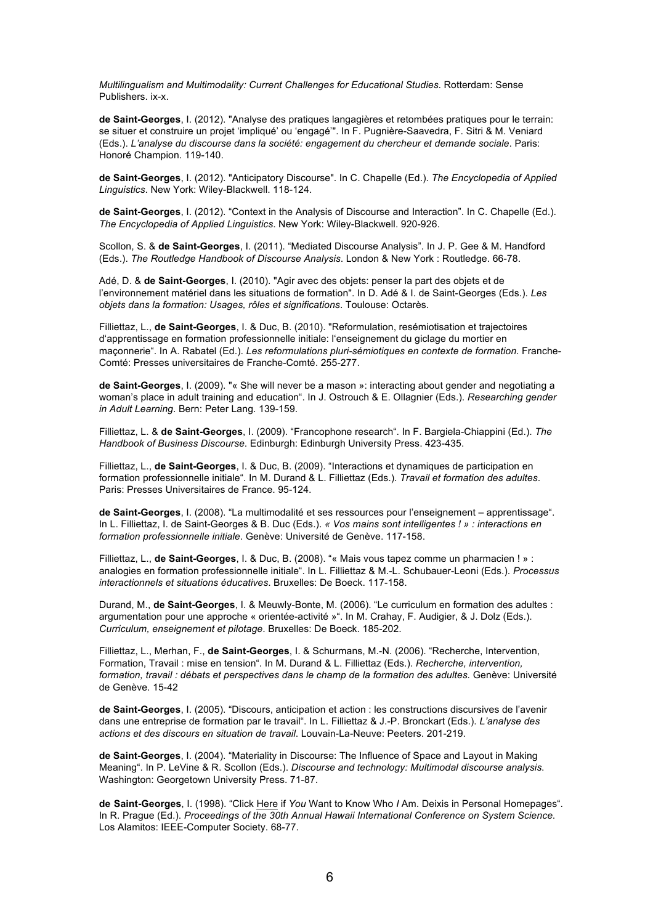*Multilingualism and Multimodality: Current Challenges for Educational Studies*. Rotterdam: Sense Publishers. ix-x.

**de Saint-Georges**, I. (2012). "Analyse des pratiques langagières et retombées pratiques pour le terrain: se situer et construire un projet 'impliqué' ou 'engagé'". In F. Pugnière-Saavedra, F. Sitri & M. Veniard (Eds.). *L'analyse du discourse dans la société: engagement du chercheur et demande sociale*. Paris: Honoré Champion. 119-140.

**de Saint-Georges**, I. (2012). "Anticipatory Discourse". In C. Chapelle (Ed.). *The Encyclopedia of Applied Linguistics*. New York: Wiley-Blackwell. 118-124.

**de Saint-Georges**, I. (2012). "Context in the Analysis of Discourse and Interaction". In C. Chapelle (Ed.). *The Encyclopedia of Applied Linguistics*. New York: Wiley-Blackwell. 920-926.

Scollon, S. & **de Saint-Georges**, I. (2011). "Mediated Discourse Analysis". In J. P. Gee & M. Handford (Eds.). *The Routledge Handbook of Discourse Analysis*. London & New York : Routledge. 66-78.

Adé, D. & **de Saint-Georges**, I. (2010). "Agir avec des objets: penser la part des objets et de l'environnement matériel dans les situations de formation". In D. Adé & I. de Saint-Georges (Eds.). *Les objets dans la formation: Usages, rôles et significations*. Toulouse: Octarès.

Filliettaz, L., **de Saint-Georges**, I. & Duc, B. (2010). "Reformulation, resémiotisation et trajectoires d'apprentissage en formation professionnelle initiale: l'enseignement du giclage du mortier en maçonnerie". In A. Rabatel (Ed.). *Les reformulations pluri-sémiotiques en contexte de formation*. Franche-Comté: Presses universitaires de Franche-Comté. 255-277.

**de Saint-Georges**, I. (2009). "« She will never be a mason »: interacting about gender and negotiating a woman's place in adult training and education". In J. Ostrouch & E. Ollagnier (Eds.). *Researching gender in Adult Learning*. Bern: Peter Lang. 139-159.

Filliettaz, L. & **de Saint-Georges**, I. (2009). "Francophone research". In F. Bargiela-Chiappini (Ed.). *The Handbook of Business Discourse*. Edinburgh: Edinburgh University Press. 423-435.

Filliettaz, L., **de Saint-Georges**, I. & Duc, B. (2009). "Interactions et dynamiques de participation en formation professionnelle initiale". In M. Durand & L. Filliettaz (Eds.). *Travail et formation des adultes*. Paris: Presses Universitaires de France. 95-124.

**de Saint-Georges**, I. (2008). "La multimodalité et ses ressources pour l'enseignement – apprentissage". In L. Filliettaz, I. de Saint-Georges & B. Duc (Eds.). *« Vos mains sont intelligentes ! » : interactions en formation professionnelle initiale*. Genève: Université de Genève. 117-158.

Filliettaz, L., **de Saint-Georges**, I. & Duc, B. (2008). "« Mais vous tapez comme un pharmacien ! » : analogies en formation professionnelle initiale". In L. Filliettaz & M.-L. Schubauer-Leoni (Eds.). *Processus interactionnels et situations éducatives*. Bruxelles: De Boeck. 117-158.

Durand, M., **de Saint-Georges**, I. & Meuwly-Bonte, M. (2006). "Le curriculum en formation des adultes : argumentation pour une approche « orientée-activité »". In M. Crahay, F. Audigier, & J. Dolz (Eds.). *Curriculum, enseignement et pilotage*. Bruxelles: De Boeck. 185-202.

Filliettaz, L., Merhan, F., **de Saint-Georges**, I. & Schurmans, M.-N. (2006). "Recherche, Intervention, Formation, Travail : mise en tension". In M. Durand & L. Filliettaz (Eds.). *Recherche, intervention, formation, travail : débats et perspectives dans le champ de la formation des adultes.* Genève: Université de Genève. 15-42

**de Saint-Georges**, I. (2005). "Discours, anticipation et action : les constructions discursives de l'avenir dans une entreprise de formation par le travail". In L. Filliettaz & J.-P. Bronckart (Eds.). *L'analyse des actions et des discours en situation de travail*. Louvain-La-Neuve: Peeters. 201-219.

**de Saint-Georges**, I. (2004). "Materiality in Discourse: The Influence of Space and Layout in Making Meaning". In P. LeVine & R. Scollon (Eds.). *Discourse and technology: Multimodal discourse analysis*. Washington: Georgetown University Press. 71-87.

**de Saint-Georges**, I. (1998). "Click Here if *You* Want to Know Who *I* Am. Deixis in Personal Homepages". In R. Prague (Ed.). *Proceedings of the 30th Annual Hawaii International Conference on System Science*. Los Alamitos: IEEE-Computer Society. 68-77.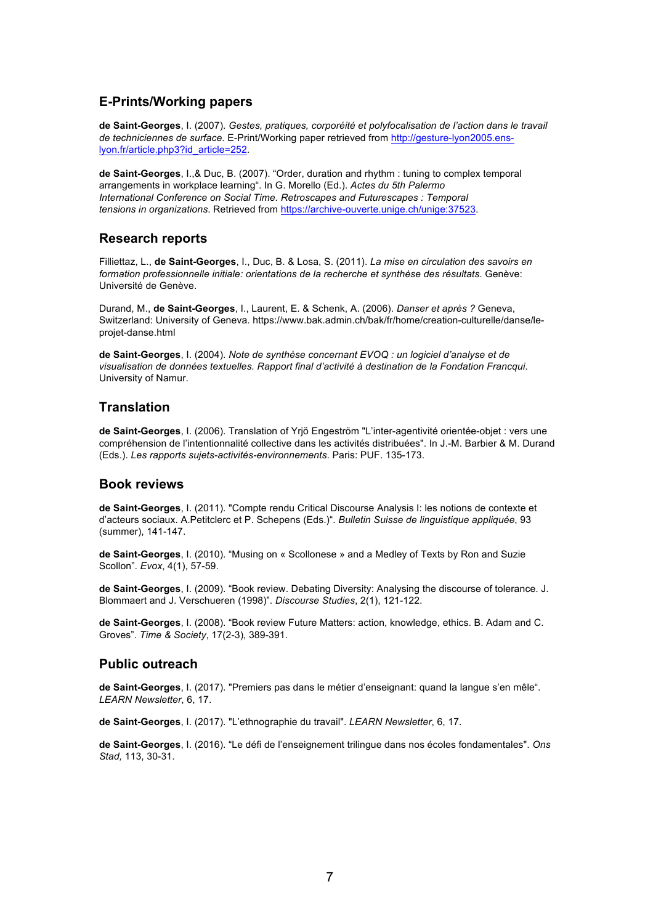### **E-Prints/Working papers**

**de Saint-Georges**, I. (2007). *Gestes, pratiques, corporéité et polyfocalisation de l'action dans le travail de techniciennes de surface*. E-Print/Working paper retrieved from [http://gesture-lyon2005.ens](http://gesture-lyon2005.ens-lyon.fr/article.php3?id_article=252)[lyon.fr/article.php3?id\\_article=252](http://gesture-lyon2005.ens-lyon.fr/article.php3?id_article=252).

**de Saint-Georges**, I.,& Duc, B. (2007). "Order, duration and rhythm : tuning to complex temporal arrangements in workplace learning". In G. Morello (Ed.). *Actes du 5th Palermo International Conference on Social Time. Retroscapes and Futurescapes : Temporal tensions in organizations*. Retrieved from <https://archive-ouverte.unige.ch/unige:37523>.

### **Research reports**

Filliettaz, L., **de Saint-Georges**, I., Duc, B. & Losa, S. (2011). *La mise en circulation des savoirs en formation professionnelle initiale: orientations de la recherche et synthèse des résultats*. Genève: Université de Genève.

Durand, M., **de Saint-Georges**, I., Laurent, E. & Schenk, A. (2006). *Danser et après ?* Geneva, Switzerland: University of Geneva. https://www.bak.admin.ch/bak/fr/home/creation-culturelle/danse/leprojet-danse.html

**de Saint-Georges**, I. (2004). *Note de synthèse concernant EVOQ : un logiciel d'analyse et de visualisation de données textuelles. Rapport final d'activité à destination de la Fondation Francqui*. University of Namur.

## **Translation**

**de Saint-Georges**, I. (2006). Translation of Yrjö Engeström "L'inter-agentivité orientée-objet : vers une compréhension de l'intentionnalité collective dans les activités distribuées". In J.-M. Barbier & M. Durand (Eds.). *Les rapports sujets-activités-environnements*. Paris: PUF. 135-173.

### **Book reviews**

**de Saint-Georges**, I. (2011). "Compte rendu Critical Discourse Analysis I: les notions de contexte et d'acteurs sociaux. A.Petitclerc et P. Schepens (Eds.)". *Bulletin Suisse de linguistique appliquée*, 93 (summer), 141-147.

**de Saint-Georges**, I. (2010). "Musing on « Scollonese » and a Medley of Texts by Ron and Suzie Scollon". *Evox*, 4(1), 57-59.

**de Saint-Georges**, I. (2009). "Book review. Debating Diversity: Analysing the discourse of tolerance. J. Blommaert and J. Verschueren (1998)". *Discourse Studies*, 2(1), 121-122.

**de Saint-Georges**, I. (2008). "Book review Future Matters: action, knowledge, ethics. B. Adam and C. Groves". *Time & Society*, 17(2-3), 389-391.

### **Public outreach**

**de Saint-Georges**, I. (2017). "Premiers pas dans le métier d'enseignant: quand la langue s'en mêle". *LEARN Newsletter*, 6, 17.

**de Saint-Georges**, I. (2017). "L'ethnographie du travail". *LEARN Newsletter*, 6, 17.

**de Saint-Georges**, I. (2016). "Le défi de l'enseignement trilingue dans nos écoles fondamentales". *Ons Stad,* 113, 30-31.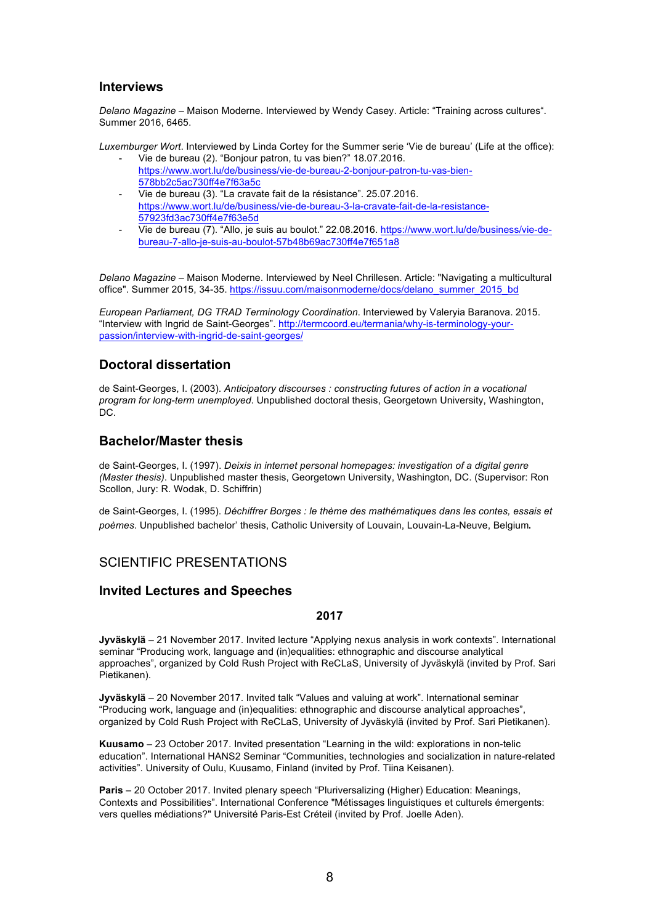### **Interviews**

*Delano Magazine* – Maison Moderne. Interviewed by Wendy Casey. Article: "Training across cultures". Summer 2016, 6465.

*Luxemburger Wort*. Interviewed by Linda Cortey for the Summer serie 'Vie de bureau' (Life at the office):

- Vie de bureau (2). "Bonjour patron, tu vas bien?" 18.07.2016. [https://www.wort.lu/de/business/vie-de-bureau-2-bonjour-patron-tu-vas-bien](https://www.wort.lu/de/business/vie-de-bureau-2-bonjour-patron-tu-vas-bien-578bb2c5ac730ff4e7f63a5c)-[578bb2c5ac730ff4e7f63a5c](https://www.wort.lu/de/business/vie-de-bureau-2-bonjour-patron-tu-vas-bien-578bb2c5ac730ff4e7f63a5c)
- Vie de bureau (3). "La cravate fait de la résistance". 25.07.2016. [https://www.wort.lu/de/business/vie-de-bureau-3-la-cravate-fait-de-la-resistance-](https://www.wort.lu/de/business/vie-de-bureau-3-la-cravate-fait-de-la-resistance-57923fd3ac730ff4e7f63e5d)[57923fd3ac730ff4e7f63e5d](https://www.wort.lu/de/business/vie-de-bureau-3-la-cravate-fait-de-la-resistance-57923fd3ac730ff4e7f63e5d)
- Vie de bureau (7). "Allo, je suis au boulot." 22.08.2016. [https://www.wort.lu/de/business/vie-de](https://www.wort.lu/de/business/vie-de-bureau-7-allo-je-suis-au-boulot-57b48b69ac730ff4e7f651a8)[bureau-7-allo-je-suis-au-boulot-57b48b69ac730ff4e7f651a8](https://www.wort.lu/de/business/vie-de-bureau-7-allo-je-suis-au-boulot-57b48b69ac730ff4e7f651a8)

*Delano Magazine* – Maison Moderne. Interviewed by Neel Chrillesen. Article: "Navigating a multicultural office". Summer 2015, 34-35. [https://issuu.com/maisonmoderne/docs/delano\\_summer\\_2015\\_bd](https://issuu.com/maisonmoderne/docs/delano_summer_2015_bd)

*European Parliament, DG TRAD Terminology Coordination*. Interviewed by Valeryia Baranova. 2015. "Interview with Ingrid de Saint-Georges". [http://termcoord.eu/termania/why-is-terminology-your](http://termcoord.eu/termania/why-is-terminology-your-passion/interview-with-ingrid-de-saint-georges/)[passion/interview-with-ingrid-de-saint-georges/](http://termcoord.eu/termania/why-is-terminology-your-passion/interview-with-ingrid-de-saint-georges/)

## **Doctoral dissertation**

de Saint-Georges, I. (2003). *Anticipatory discourses : constructing futures of action in a vocational program for long-term unemployed*. Unpublished doctoral thesis, Georgetown University, Washington, DC.

## **Bachelor/Master thesis**

de Saint-Georges, I. (1997). *Deixis in internet personal homepages: investigation of a digital genre (Master thesis)*. Unpublished master thesis, Georgetown University, Washington, DC. (Supervisor: Ron Scollon, Jury: R. Wodak, D. Schiffrin)

de Saint-Georges, I. (1995). *Déchiffrer Borges : le thème des mathématiques dans les contes, essais et poèmes*. Unpublished bachelor' thesis, Catholic University of Louvain, Louvain-La-Neuve, Belgium. 

## SCIENTIFIC PRESENTATIONS

## **Invited Lectures and Speeches**

### **2017**

**Jyväskylä** – 21 November 2017. Invited lecture "Applying nexus analysis in work contexts". International seminar "Producing work, language and (in)equalities: ethnographic and discourse analytical approaches", organized by Cold Rush Project with ReCLaS, University of Jyväskylä (invited by Prof. Sari Pietikanen).

**Jyväskylä** – 20 November 2017. Invited talk "Values and valuing at work". International seminar "Producing work, language and (in)equalities: ethnographic and discourse analytical approaches", organized by Cold Rush Project with ReCLaS, University of Jyväskylä (invited by Prof. Sari Pietikanen).

**Kuusamo** – 23 October 2017. Invited presentation "Learning in the wild: explorations in non-telic education". International HANS2 Seminar "Communities, technologies and socialization in nature-related activities". University of Oulu, Kuusamo, Finland (invited by Prof. Tiina Keisanen).

**Paris** – 20 October 2017. Invited plenary speech "Pluriversalizing (Higher) Education: Meanings, Contexts and Possibilities". International Conference "Métissages linguistiques et culturels émergents: vers quelles médiations?" Université Paris-Est Créteil (invited by Prof. Joelle Aden).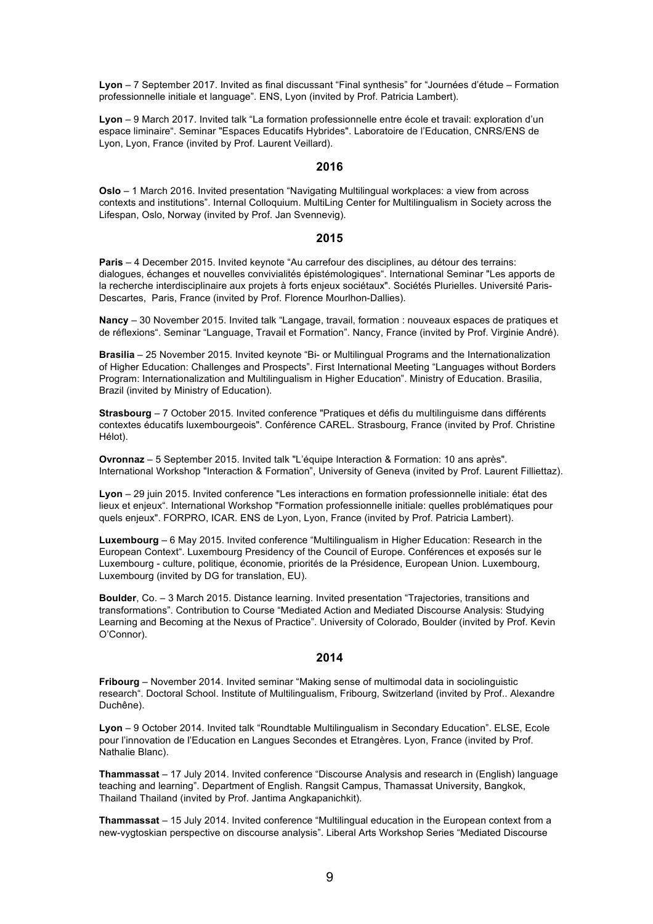**Lyon** – 7 September 2017. Invited as final discussant "Final synthesis" for "Journées d'étude – Formation professionnelle initiale et language". ENS, Lyon (invited by Prof. Patricia Lambert).

**Lyon** – 9 March 2017. Invited talk "La formation professionnelle entre école et travail: exploration d'un espace liminaire". Seminar "Espaces Educatifs Hybrides". Laboratoire de l'Education, CNRS/ENS de Lyon, Lyon, France (invited by Prof. Laurent Veillard).

#### **2016**

**Oslo** – 1 March 2016. Invited presentation "Navigating Multilingual workplaces: a view from across contexts and institutions". Internal Colloquium. MultiLing Center for Multilingualism in Society across the Lifespan, Oslo, Norway (invited by Prof. Jan Svennevig).

#### **2015**

**Paris** – 4 December 2015. Invited keynote "Au carrefour des disciplines, au détour des terrains: dialogues, échanges et nouvelles convivialités épistémologiques". International Seminar "Les apports de la recherche interdisciplinaire aux projets à forts enjeux sociétaux". Sociétés Plurielles. Université Paris-Descartes, Paris, France (invited by Prof. Florence Mourlhon-Dallies).

**Nancy** – 30 November 2015. Invited talk "Langage, travail, formation : nouveaux espaces de pratiques et de réflexions". Seminar "Language, Travail et Formation". Nancy, France (invited by Prof. Virginie André).

**Brasilia** – 25 November 2015. Invited keynote "Bi- or Multilingual Programs and the Internationalization of Higher Education: Challenges and Prospects". First International Meeting "Languages without Borders Program: Internationalization and Multilingualism in Higher Education". Ministry of Education. Brasilia, Brazil (invited by Ministry of Education).

**Strasbourg** – 7 October 2015. Invited conference "Pratiques et défis du multilinguisme dans différents contextes éducatifs luxembourgeois". Conférence CAREL. Strasbourg, France (invited by Prof. Christine Hélot).

**Ovronnaz** – 5 September 2015. Invited talk "L'équipe Interaction & Formation: 10 ans après". International Workshop "Interaction & Formation", University of Geneva (invited by Prof. Laurent Filliettaz).

**Lyon** – 29 juin 2015. Invited conference "Les interactions en formation professionnelle initiale: état des lieux et enjeux". International Workshop "Formation professionnelle initiale: quelles problématiques pour quels enjeux". FORPRO, ICAR. ENS de Lyon, Lyon, France (invited by Prof. Patricia Lambert).

**Luxembourg** – 6 May 2015. Invited conference "Multilingualism in Higher Education: Research in the European Context". Luxembourg Presidency of the Council of Europe. Conférences et exposés sur le Luxembourg - culture, politique, économie, priorités de la Présidence, European Union. Luxembourg, Luxembourg (invited by DG for translation, EU).

**Boulder**, Co. – 3 March 2015. Distance learning. Invited presentation "Trajectories, transitions and transformations". Contribution to Course "Mediated Action and Mediated Discourse Analysis: Studying Learning and Becoming at the Nexus of Practice". University of Colorado, Boulder (invited by Prof. Kevin O'Connor).

### **2014**

**Fribourg** – November 2014. Invited seminar "Making sense of multimodal data in sociolinguistic research". Doctoral School. Institute of Multilingualism, Fribourg, Switzerland (invited by Prof.. Alexandre Duchêne).

**Lyon** – 9 October 2014. Invited talk "Roundtable Multilingualism in Secondary Education". ELSE, Ecole pour l'innovation de l'Education en Langues Secondes et Etrangères. Lyon, France (invited by Prof. Nathalie Blanc).

**Thammassat** – 17 July 2014. Invited conference "Discourse Analysis and research in (English) language teaching and learning". Department of English. Rangsit Campus, Thamassat University, Bangkok, Thailand Thailand (invited by Prof. Jantima Angkapanichkit).

**Thammassat** – 15 July 2014. Invited conference "Multilingual education in the European context from a new-vygtoskian perspective on discourse analysis". Liberal Arts Workshop Series "Mediated Discourse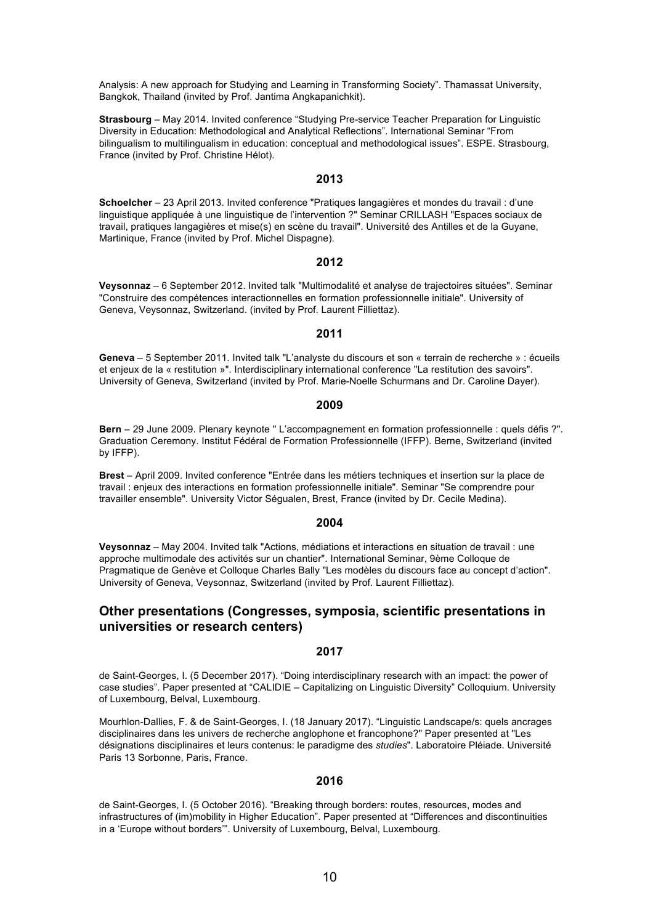Analysis: A new approach for Studying and Learning in Transforming Society". Thamassat University, Bangkok, Thailand (invited by Prof. Jantima Angkapanichkit).

**Strasbourg** – May 2014. Invited conference "Studying Pre-service Teacher Preparation for Linguistic Diversity in Education: Methodological and Analytical Reflections". International Seminar "From bilingualism to multilingualism in education: conceptual and methodological issues". ESPE. Strasbourg, France (invited by Prof. Christine Hélot).

### **2013**

**Schoelcher** – 23 April 2013. Invited conference "Pratiques langagières et mondes du travail : d'une linguistique appliquée à une linguistique de l'intervention ?" Seminar CRILLASH "Espaces sociaux de travail, pratiques langagières et mise(s) en scène du travail". Université des Antilles et de la Guyane, Martinique, France (invited by Prof. Michel Dispagne).

#### **2012**

**Veysonnaz** – 6 September 2012. Invited talk "Multimodalité et analyse de trajectoires situées". Seminar "Construire des compétences interactionnelles en formation professionnelle initiale". University of Geneva, Veysonnaz, Switzerland. (invited by Prof. Laurent Filliettaz).

### **2011**

**Geneva** – 5 September 2011. Invited talk "L'analyste du discours et son « terrain de recherche » : écueils et enjeux de la « restitution »". Interdisciplinary international conference "La restitution des savoirs". University of Geneva, Switzerland (invited by Prof. Marie-Noelle Schurmans and Dr. Caroline Dayer).

### **2009**

**Bern** – 29 June 2009. Plenary keynote " L'accompagnement en formation professionnelle : quels défis ?". Graduation Ceremony. Institut Fédéral de Formation Professionnelle (IFFP). Berne, Switzerland (invited by IFFP).

**Brest** – April 2009. Invited conference "Entrée dans les métiers techniques et insertion sur la place de travail : enjeux des interactions en formation professionnelle initiale". Seminar "Se comprendre pour travailler ensemble". University Victor Ségualen, Brest, France (invited by Dr. Cecile Medina).

### **2004**

**Veysonnaz** – May 2004. Invited talk "Actions, médiations et interactions en situation de travail : une approche multimodale des activités sur un chantier". International Seminar, 9ème Colloque de Pragmatique de Genève et Colloque Charles Bally "Les modèles du discours face au concept d'action". University of Geneva, Veysonnaz, Switzerland (invited by Prof. Laurent Filliettaz).

### **Other presentations (Congresses, symposia, scientific presentations in universities or research centers)**

#### **2017**

de Saint-Georges, I. (5 December 2017). "Doing interdisciplinary research with an impact: the power of case studies". Paper presented at "CALIDIE – Capitalizing on Linguistic Diversity" Colloquium. University of Luxembourg, Belval, Luxembourg.

Mourhlon-Dallies, F. & de Saint-Georges, I. (18 January 2017). "Linguistic Landscape/s: quels ancrages disciplinaires dans les univers de recherche anglophone et francophone?" Paper presented at "Les désignations disciplinaires et leurs contenus: le paradigme des *studies*". Laboratoire Pléiade. Université Paris 13 Sorbonne, Paris, France.

### **2016**

de Saint-Georges, I. (5 October 2016). "Breaking through borders: routes, resources, modes and infrastructures of (im)mobility in Higher Education". Paper presented at "Differences and discontinuities in a 'Europe without borders'". University of Luxembourg, Belval, Luxembourg.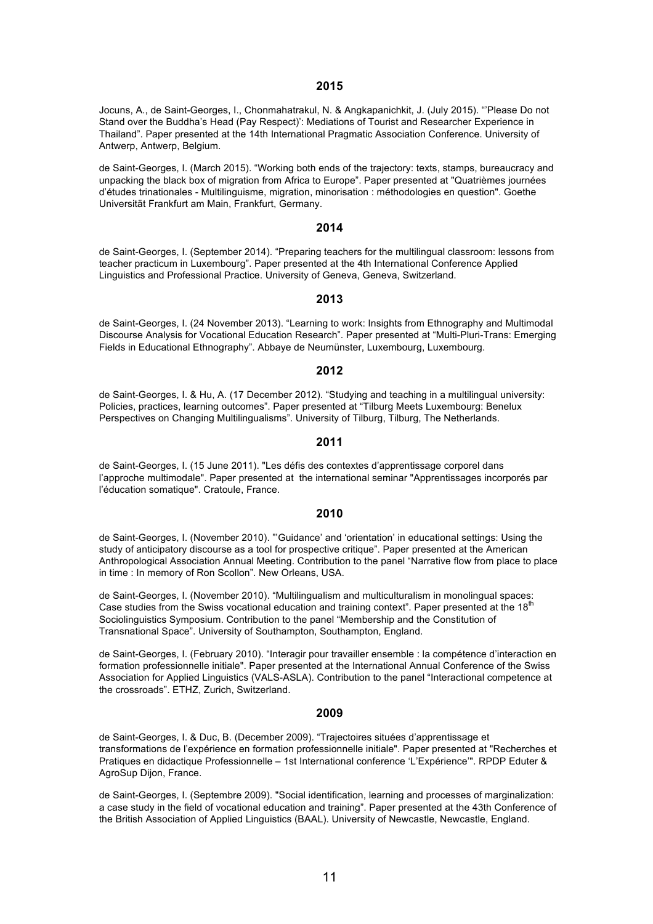#### **2015**

Jocuns, A., de Saint-Georges, I., Chonmahatrakul, N. & Angkapanichkit, J. (July 2015). "'Please Do not Stand over the Buddha's Head (Pay Respect)': Mediations of Tourist and Researcher Experience in Thailand". Paper presented at the 14th International Pragmatic Association Conference. University of Antwerp, Antwerp, Belgium.

de Saint-Georges, I. (March 2015). "Working both ends of the trajectory: texts, stamps, bureaucracy and unpacking the black box of migration from Africa to Europe". Paper presented at "Quatrièmes journées d'études trinationales - Multilinguisme, migration, minorisation : méthodologies en question". Goethe Universität Frankfurt am Main, Frankfurt, Germany.

### **2014**

de Saint-Georges, I. (September 2014). "Preparing teachers for the multilingual classroom: lessons from teacher practicum in Luxembourg". Paper presented at the 4th International Conference Applied Linguistics and Professional Practice. University of Geneva, Geneva, Switzerland.

### **2013**

de Saint-Georges, I. (24 November 2013). "Learning to work: Insights from Ethnography and Multimodal Discourse Analysis for Vocational Education Research". Paper presented at "Multi-Pluri-Trans: Emerging Fields in Educational Ethnography". Abbaye de Neumünster, Luxembourg, Luxembourg.

### **2012**

de Saint-Georges, I. & Hu, A. (17 December 2012). "Studying and teaching in a multilingual university: Policies, practices, learning outcomes". Paper presented at "Tilburg Meets Luxembourg: Benelux Perspectives on Changing Multilingualisms". University of Tilburg, Tilburg, The Netherlands.

### **2011**

de Saint-Georges, I. (15 June 2011). "Les défis des contextes d'apprentissage corporel dans l'approche multimodale". Paper presented at the international seminar "Apprentissages incorporés par l'éducation somatique". Cratoule, France.

### **2010**

de Saint-Georges, I. (November 2010). "'Guidance' and 'orientation' in educational settings: Using the study of anticipatory discourse as a tool for prospective critique". Paper presented at the American Anthropological Association Annual Meeting. Contribution to the panel "Narrative flow from place to place in time : In memory of Ron Scollon". New Orleans, USA.

de Saint-Georges, I. (November 2010). "Multilingualism and multiculturalism in monolingual spaces: Case studies from the Swiss vocational education and training context". Paper presented at the 18<sup>th</sup> Sociolinguistics Symposium. Contribution to the panel "Membership and the Constitution of Transnational Space". University of Southampton, Southampton, England.

de Saint-Georges, I. (February 2010). "Interagir pour travailler ensemble : la compétence d'interaction en formation professionnelle initiale". Paper presented at the International Annual Conference of the Swiss Association for Applied Linguistics (VALS-ASLA). Contribution to the panel "Interactional competence at the crossroads". ETHZ, Zurich, Switzerland.

### **2009**

de Saint-Georges, I. & Duc, B. (December 2009). "Trajectoires situées d'apprentissage et transformations de l'expérience en formation professionnelle initiale". Paper presented at "Recherches et Pratiques en didactique Professionnelle – 1st International conference 'L'Expérience'". RPDP Eduter & AgroSup Dijon, France.

de Saint-Georges, I. (Septembre 2009). "Social identification, learning and processes of marginalization: a case study in the field of vocational education and training". Paper presented at the 43th Conference of the British Association of Applied Linguistics (BAAL). University of Newcastle, Newcastle, England.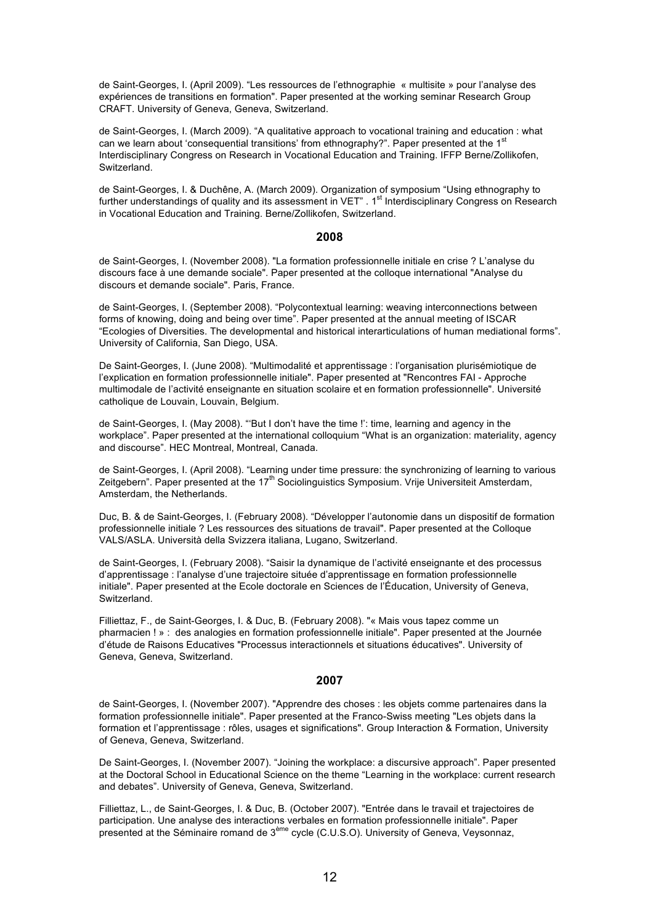de Saint-Georges, I. (April 2009). "Les ressources de l'ethnographie « multisite » pour l'analyse des expériences de transitions en formation". Paper presented at the working seminar Research Group CRAFT. University of Geneva, Geneva, Switzerland.

de Saint-Georges, I. (March 2009). "A qualitative approach to vocational training and education : what can we learn about 'consequential transitions' from ethnography?". Paper presented at the 1<sup>st</sup> Interdisciplinary Congress on Research in Vocational Education and Training. IFFP Berne/Zollikofen, Switzerland.

de Saint-Georges, I. & Duchêne, A. (March 2009). Organization of symposium "Using ethnography to further understandings of quality and its assessment in VET" . 1<sup>st</sup> Interdisciplinary Congress on Research in Vocational Education and Training. Berne/Zollikofen, Switzerland.

#### **2008**

de Saint-Georges, I. (November 2008). "La formation professionnelle initiale en crise ? L'analyse du discours face à une demande sociale". Paper presented at the colloque international "Analyse du discours et demande sociale". Paris, France.

de Saint-Georges, I. (September 2008). "Polycontextual learning: weaving interconnections between forms of knowing, doing and being over time". Paper presented at the annual meeting of ISCAR "Ecologies of Diversities. The developmental and historical interarticulations of human mediational forms". University of California, San Diego, USA.

De Saint-Georges, I. (June 2008). "Multimodalité et apprentissage : l'organisation plurisémiotique de l'explication en formation professionnelle initiale". Paper presented at "Rencontres FAI - Approche multimodale de l'activité enseignante en situation scolaire et en formation professionnelle". Université catholique de Louvain, Louvain, Belgium.

de Saint-Georges, I. (May 2008). "'But I don't have the time !': time, learning and agency in the workplace". Paper presented at the international colloquium "What is an organization: materiality, agency and discourse". HEC Montreal, Montreal, Canada.

de Saint-Georges, I. (April 2008). "Learning under time pressure: the synchronizing of learning to various Zeitgebern". Paper presented at the 17<sup>th</sup> Sociolinguistics Symposium. Vrije Universiteit Amsterdam, Amsterdam, the Netherlands.

Duc, B. & de Saint-Georges, I. (February 2008). "Développer l'autonomie dans un dispositif de formation professionnelle initiale ? Les ressources des situations de travail". Paper presented at the Colloque VALS/ASLA. Università della Svizzera italiana, Lugano, Switzerland.

de Saint-Georges, I. (February 2008). "Saisir la dynamique de l'activité enseignante et des processus d'apprentissage : l'analyse d'une trajectoire située d'apprentissage en formation professionnelle initiale". Paper presented at the Ecole doctorale en Sciences de l'Éducation, University of Geneva, Switzerland.

Filliettaz, F., de Saint-Georges, I. & Duc, B. (February 2008). "« Mais vous tapez comme un pharmacien ! » : des analogies en formation professionnelle initiale". Paper presented at the Journée d'étude de Raisons Educatives "Processus interactionnels et situations éducatives". University of Geneva, Geneva, Switzerland.

### **2007**

de Saint-Georges, I. (November 2007). "Apprendre des choses : les objets comme partenaires dans la formation professionnelle initiale". Paper presented at the Franco-Swiss meeting "Les objets dans la formation et l'apprentissage : rôles, usages et significations". Group Interaction & Formation, University of Geneva, Geneva, Switzerland.

De Saint-Georges, I. (November 2007). "Joining the workplace: a discursive approach". Paper presented at the Doctoral School in Educational Science on the theme "Learning in the workplace: current research and debates". University of Geneva, Geneva, Switzerland.

Filliettaz, L., de Saint-Georges, I. & Duc, B. (October 2007). "Entrée dans le travail et trajectoires de participation. Une analyse des interactions verbales en formation professionnelle initiale". Paper presented at the Séminaire romand de 3<sup>ème</sup> cycle (C.U.S.O). University of Geneva, Veysonnaz,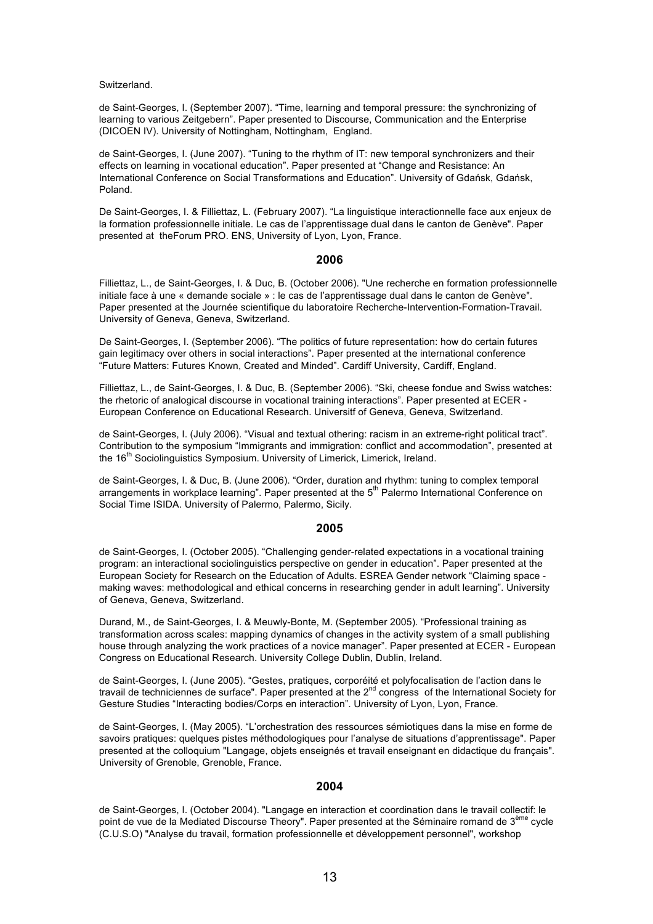Switzerland.

de Saint-Georges, I. (September 2007). "Time, learning and temporal pressure: the synchronizing of learning to various Zeitgebern". Paper presented to Discourse, Communication and the Enterprise (DICOEN IV). University of Nottingham, Nottingham, England.

de Saint-Georges, I. (June 2007). "Tuning to the rhythm of IT: new temporal synchronizers and their effects on learning in vocational education". Paper presented at "Change and Resistance: An International Conference on Social Transformations and Education". University of Gdańsk, Gdańsk, Poland.

De Saint-Georges, I. & Filliettaz, L. (February 2007). "La linguistique interactionnelle face aux enjeux de la formation professionnelle initiale. Le cas de l'apprentissage dual dans le canton de Genève". Paper presented at theForum PRO. ENS, University of Lyon, Lyon, France.

### **2006**

Filliettaz, L., de Saint-Georges, I. & Duc, B. (October 2006). "Une recherche en formation professionnelle initiale face à une « demande sociale » : le cas de l'apprentissage dual dans le canton de Genève". Paper presented at the Journée scientifique du laboratoire Recherche-Intervention-Formation-Travail. University of Geneva, Geneva, Switzerland.

De Saint-Georges, I. (September 2006). "The politics of future representation: how do certain futures gain legitimacy over others in social interactions". Paper presented at the international conference "Future Matters: Futures Known, Created and Minded". Cardiff University, Cardiff, England.

Filliettaz, L., de Saint-Georges, I. & Duc, B. (September 2006). "Ski, cheese fondue and Swiss watches: the rhetoric of analogical discourse in vocational training interactions". Paper presented at ECER - European Conference on Educational Research. Universitf of Geneva, Geneva, Switzerland.

de Saint-Georges, I. (July 2006). "Visual and textual othering: racism in an extreme-right political tract". Contribution to the symposium "Immigrants and immigration: conflict and accommodation", presented at the 16<sup>th</sup> Sociolinguistics Symposium. University of Limerick, Limerick, Ireland.

de Saint-Georges, I. & Duc, B. (June 2006). "Order, duration and rhythm: tuning to complex temporal arrangements in workplace learning". Paper presented at the 5<sup>th</sup> Palermo International Conference on Social Time ISIDA. University of Palermo, Palermo, Sicily.

### **2005**

de Saint-Georges, I. (October 2005). "Challenging gender-related expectations in a vocational training program: an interactional sociolinguistics perspective on gender in education". Paper presented at the European Society for Research on the Education of Adults. ESREA Gender network "Claiming space making waves: methodological and ethical concerns in researching gender in adult learning". University of Geneva, Geneva, Switzerland.

Durand, M., de Saint-Georges, I. & Meuwly-Bonte, M. (September 2005). "Professional training as transformation across scales: mapping dynamics of changes in the activity system of a small publishing house through analyzing the work practices of a novice manager". Paper presented at ECER - European Congress on Educational Research. University College Dublin, Dublin, Ireland.

de Saint-Georges, I. (June 2005). "Gestes, pratiques, corporéité et polyfocalisation de l'action dans le travail de techniciennes de surface". Paper presented at the 2nd congress of the International Society for Gesture Studies "Interacting bodies/Corps en interaction". University of Lyon, Lyon, France.

de Saint-Georges, I. (May 2005). "L'orchestration des ressources sémiotiques dans la mise en forme de savoirs pratiques: quelques pistes méthodologiques pour l'analyse de situations d'apprentissage". Paper presented at the colloquium "Langage, objets enseignés et travail enseignant en didactique du français". University of Grenoble, Grenoble, France.

### **2004**

de Saint-Georges, I. (October 2004). "Langage en interaction et coordination dans le travail collectif: le point de vue de la Mediated Discourse Theory". Paper presented at the Séminaire romand de 3<sup>ème</sup> cycle (C.U.S.O) "Analyse du travail, formation professionnelle et développement personnel", workshop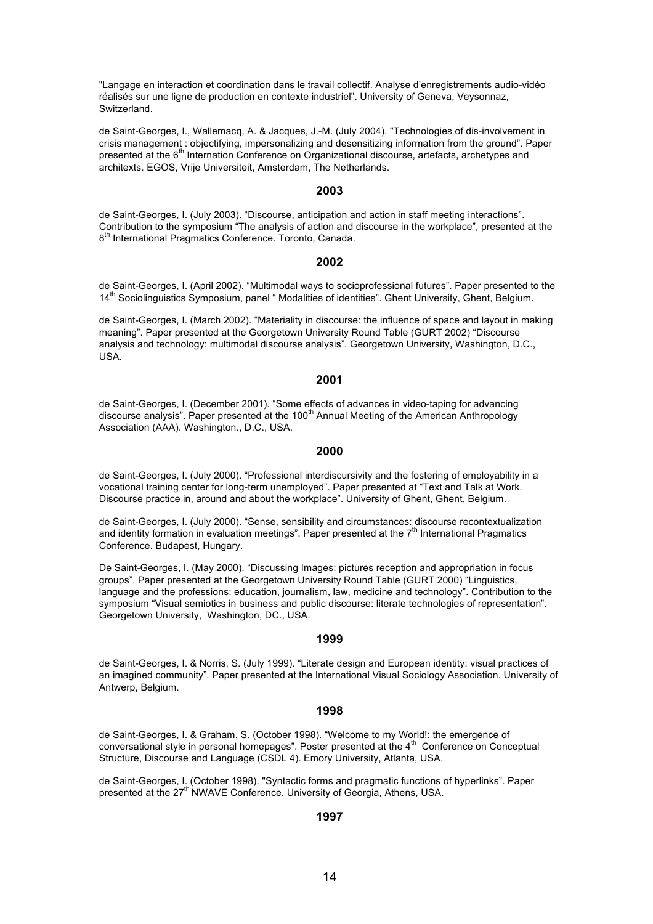"Langage en interaction et coordination dans le travail collectif. Analyse d'enregistrements audio-vidéo réalisés sur une ligne de production en contexte industriel". University of Geneva, Veysonnaz, Switzerland.

de Saint-Georges, I., Wallemacq, A. & Jacques, J.-M. (July 2004). "Technologies of dis-involvement in crisis management : objectifying, impersonalizing and desensitizing information from the ground". Paper presented at the 6<sup>th</sup> Internation Conference on Organizational discourse, artefacts, archetypes and architexts. EGOS, Vrije Universiteit, Amsterdam, The Netherlands.

#### **2003**

de Saint-Georges, I. (July 2003). "Discourse, anticipation and action in staff meeting interactions". Contribution to the symposium "The analysis of action and discourse in the workplace", presented at the 8<sup>th</sup> International Pragmatics Conference. Toronto, Canada.

#### **2002**

de Saint-Georges, I. (April 2002). "Multimodal ways to socioprofessional futures". Paper presented to the 14<sup>th</sup> Sociolinguistics Symposium, panel " Modalities of identities". Ghent University, Ghent, Belgium.

de Saint-Georges, I. (March 2002). "Materiality in discourse: the influence of space and layout in making meaning". Paper presented at the Georgetown University Round Table (GURT 2002) "Discourse analysis and technology: multimodal discourse analysis". Georgetown University, Washington, D.C., USA.

### **2001**

de Saint-Georges, I. (December 2001). "Some effects of advances in video-taping for advancing discourse analysis". Paper presented at the 100<sup>th</sup> Annual Meeting of the American Anthropology Association (AAA). Washington., D.C., USA.

### **2000**

de Saint-Georges, I. (July 2000). "Professional interdiscursivity and the fostering of employability in a vocational training center for long-term unemployed". Paper presented at "Text and Talk at Work. Discourse practice in, around and about the workplace". University of Ghent, Ghent, Belgium.

de Saint-Georges, I. (July 2000). "Sense, sensibility and circumstances: discourse recontextualization and identity formation in evaluation meetings". Paper presented at the  $7<sup>th</sup>$  International Pragmatics Conference. Budapest, Hungary.

De Saint-Georges, I. (May 2000). "Discussing Images: pictures reception and appropriation in focus groups". Paper presented at the Georgetown University Round Table (GURT 2000) "Linguistics, language and the professions: education, journalism, law, medicine and technology". Contribution to the symposium "Visual semiotics in business and public discourse: literate technologies of representation". Georgetown University, Washington, DC., USA.

#### **1999**

de Saint-Georges, I. & Norris, S. (July 1999). "Literate design and European identity: visual practices of an imagined community". Paper presented at the International Visual Sociology Association. University of Antwerp, Belgium.

#### **1998**

de Saint-Georges, I. & Graham, S. (October 1998). "Welcome to my World!: the emergence of conversational style in personal homepages". Poster presented at the  $4<sup>th</sup>$  Conference on Conceptual Structure, Discourse and Language (CSDL 4). Emory University, Atlanta, USA.

de Saint-Georges, I. (October 1998). "Syntactic forms and pragmatic functions of hyperlinks". Paper presented at the 27<sup>th</sup> NWAVE Conference. University of Georgia, Athens, USA.

#### **1997**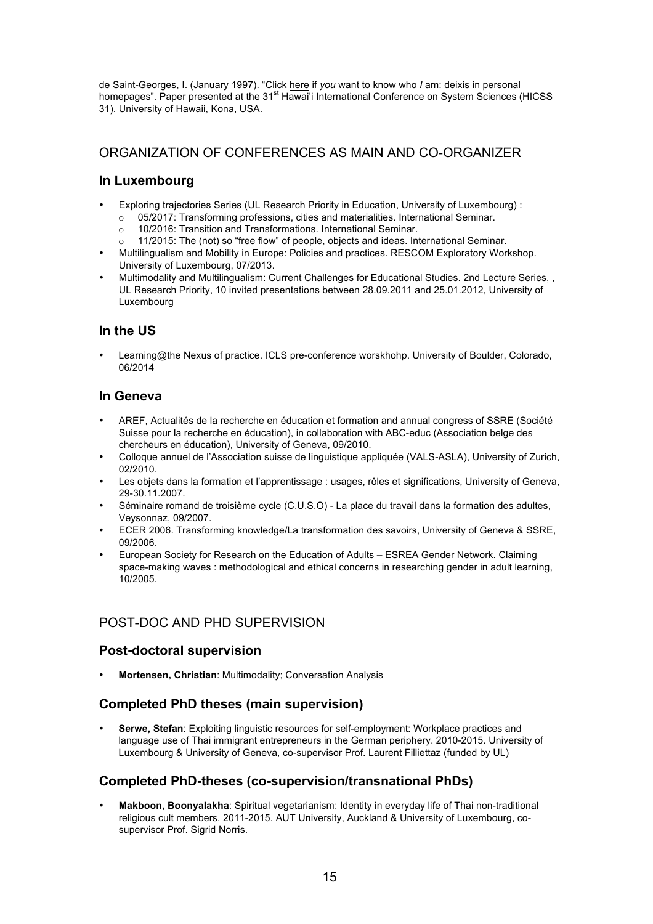de Saint-Georges, I. (January 1997). "Click here if *you* want to know who *I* am: deixis in personal homepages". Paper presented at the 31<sup>st</sup> Hawai'i International Conference on System Sciences (HICSS 31). University of Hawaii, Kona, USA.

## ORGANIZATION OF CONFERENCES AS MAIN AND CO-ORGANIZER

## **In Luxembourg**

- Exploring trajectories Series (UL Research Priority in Education, University of Luxembourg) :
	- o 05/2017: Transforming professions, cities and materialities. International Seminar.
	- o 10/2016: Transition and Transformations. International Seminar.
	- o 11/2015: The (not) so "free flow" of people, objects and ideas. International Seminar.
- Multilingualism and Mobility in Europe: Policies and practices. RESCOM Exploratory Workshop. University of Luxembourg, 07/2013.
- Multimodality and Multilingualism: Current Challenges for Educational Studies. 2nd Lecture Series, , UL Research Priority, 10 invited presentations between 28.09.2011 and 25.01.2012, University of Luxembourg

## **In the US**

• Learning@the Nexus of practice. ICLS pre-conference worskhohp. University of Boulder, Colorado, 06/2014

## **In Geneva**

- AREF, Actualités de la recherche en éducation et formation and annual congress of SSRE (Société Suisse pour la recherche en éducation), in collaboration with ABC-educ (Association belge des chercheurs en éducation), University of Geneva, 09/2010.
- Colloque annuel de l'Association suisse de linguistique appliquée (VALS-ASLA), University of Zurich, 02/2010.
- Les objets dans la formation et l'apprentissage : usages, rôles et significations, University of Geneva, 29-30.11.2007.
- Séminaire romand de troisième cycle (C.U.S.O) La place du travail dans la formation des adultes, Veysonnaz, 09/2007.
- ECER 2006. Transforming knowledge/La transformation des savoirs, University of Geneva & SSRE, 09/2006.
- European Society for Research on the Education of Adults ESREA Gender Network. Claiming space-making waves : methodological and ethical concerns in researching gender in adult learning. 10/2005.

## POST-DOC AND PHD SUPERVISION

## **Post-doctoral supervision**

• **Mortensen, Christian**: Multimodality; Conversation Analysis

## **Completed PhD theses (main supervision)**

• **Serwe, Stefan**: Exploiting linguistic resources for self-employment: Workplace practices and language use of Thai immigrant entrepreneurs in the German periphery. 2010-2015. University of Luxembourg & University of Geneva, co-supervisor Prof. Laurent Filliettaz (funded by UL)

## **Completed PhD-theses (co-supervision/transnational PhDs)**

• **Makboon, Boonyalakha**: Spiritual vegetarianism: Identity in everyday life of Thai non-traditional religious cult members. 2011-2015. AUT University, Auckland & University of Luxembourg, cosupervisor Prof. Sigrid Norris.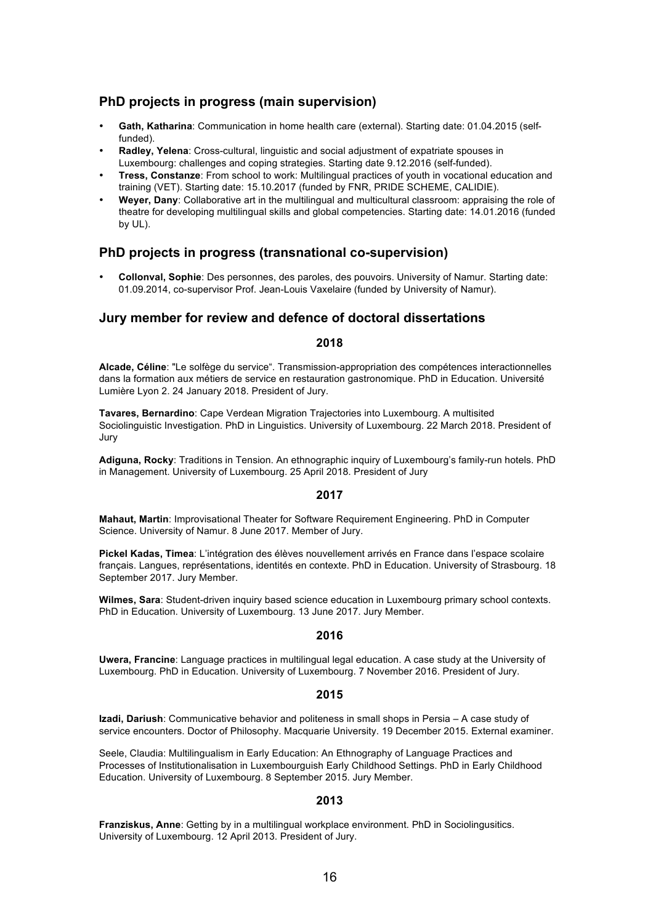## **PhD projects in progress (main supervision)**

- **Gath, Katharina**: Communication in home health care (external). Starting date: 01.04.2015 (selffunded).
- **Radley, Yelena**: Cross-cultural, linguistic and social adjustment of expatriate spouses in Luxembourg: challenges and coping strategies. Starting date 9.12.2016 (self-funded).
- **Tress, Constanze**: From school to work: Multilingual practices of youth in vocational education and training (VET). Starting date: 15.10.2017 (funded by FNR, PRIDE SCHEME, CALIDIE).
- **Weyer, Dany**: Collaborative art in the multilingual and multicultural classroom: appraising the role of theatre for developing multilingual skills and global competencies. Starting date: 14.01.2016 (funded by UL).

## **PhD projects in progress (transnational co-supervision)**

• **Collonval, Sophie**: Des personnes, des paroles, des pouvoirs. University of Namur. Starting date: 01.09.2014, co-supervisor Prof. Jean-Louis Vaxelaire (funded by University of Namur).

## **Jury member for review and defence of doctoral dissertations**

### **2018**

**Alcade, Céline**: "Le solfège du service". Transmission-appropriation des compétences interactionnelles dans la formation aux métiers de service en restauration gastronomique. PhD in Education. Université Lumière Lyon 2. 24 January 2018. President of Jury.

**Tavares, Bernardino**: Cape Verdean Migration Trajectories into Luxembourg. A multisited Sociolinguistic Investigation. PhD in Linguistics. University of Luxembourg. 22 March 2018. President of Jury

**Adiguna, Rocky**: Traditions in Tension. An ethnographic inquiry of Luxembourg's family-run hotels. PhD in Management. University of Luxembourg. 25 April 2018. President of Jury

### **2017**

**Mahaut, Martin**: Improvisational Theater for Software Requirement Engineering. PhD in Computer Science. University of Namur. 8 June 2017. Member of Jury.

**Pickel Kadas, Timea**: L'intégration des élèves nouvellement arrivés en France dans l'espace scolaire français. Langues, représentations, identités en contexte. PhD in Education. University of Strasbourg. 18 September 2017. Jury Member.

**Wilmes, Sara**: Student-driven inquiry based science education in Luxembourg primary school contexts. PhD in Education. University of Luxembourg. 13 June 2017. Jury Member.

### **2016**

**Uwera, Francine**: Language practices in multilingual legal education. A case study at the University of Luxembourg. PhD in Education. University of Luxembourg. 7 November 2016. President of Jury.

### **2015**

**Izadi, Dariush**: Communicative behavior and politeness in small shops in Persia – A case study of service encounters. Doctor of Philosophy. Macquarie University. 19 December 2015. External examiner.

Seele, Claudia: Multilingualism in Early Education: An Ethnography of Language Practices and Processes of Institutionalisation in Luxembourguish Early Childhood Settings. PhD in Early Childhood Education. University of Luxembourg. 8 September 2015. Jury Member.

### **2013**

**Franziskus, Anne**: Getting by in a multilingual workplace environment. PhD in Sociolingusitics. University of Luxembourg. 12 April 2013. President of Jury.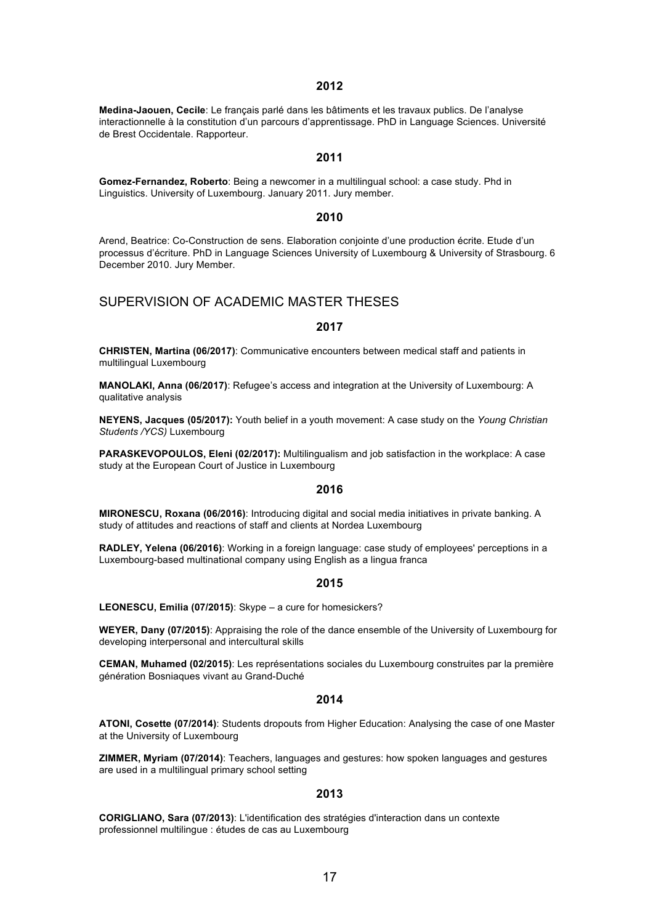#### **2012**

**Medina-Jaouen, Cecile**: Le français parlé dans les bâtiments et les travaux publics. De l'analyse interactionnelle à la constitution d'un parcours d'apprentissage. PhD in Language Sciences. Université de Brest Occidentale. Rapporteur.

### **2011**

**Gomez-Fernandez, Roberto**: Being a newcomer in a multilingual school: a case study. Phd in Linguistics. University of Luxembourg. January 2011. Jury member.

### **2010**

Arend, Beatrice: Co-Construction de sens. Elaboration conjointe d'une production écrite. Etude d'un processus d'écriture. PhD in Language Sciences University of Luxembourg & University of Strasbourg. 6 December 2010. Jury Member.

## SUPERVISION OF ACADEMIC MASTER THESES

#### **2017**

**CHRISTEN, Martina (06/2017)**: Communicative encounters between medical staff and patients in multilingual Luxembourg

**MANOLAKI, Anna (06/2017)**: Refugee's access and integration at the University of Luxembourg: A qualitative analysis

**NEYENS, Jacques (05/2017):** Youth belief in a youth movement: A case study on the *Young Christian Students /YCS)* Luxembourg

**PARASKEVOPOULOS, Eleni (02/2017):** Multilingualism and job satisfaction in the workplace: A case study at the European Court of Justice in Luxembourg

### **2016**

**MIRONESCU, Roxana (06/2016)**: Introducing digital and social media initiatives in private banking. A study of attitudes and reactions of staff and clients at Nordea Luxembourg

**RADLEY, Yelena (06/2016)**: Working in a foreign language: case study of employees' perceptions in a Luxembourg-based multinational company using English as a lingua franca

#### **2015**

**LEONESCU, Emilia (07/2015)**: Skype – a cure for homesickers?

**WEYER, Dany (07/2015)**: Appraising the role of the dance ensemble of the University of Luxembourg for developing interpersonal and intercultural skills

**CEMAN, Muhamed (02/2015)**: Les représentations sociales du Luxembourg construites par la première génération Bosniaques vivant au Grand-Duché

#### **2014**

**ATONI, Cosette (07/2014)**: Students dropouts from Higher Education: Analysing the case of one Master at the University of Luxembourg

**ZIMMER, Myriam (07/2014)**: Teachers, languages and gestures: how spoken languages and gestures are used in a multilingual primary school setting

### **2013**

**CORIGLIANO, Sara (07/2013)**: L'identification des stratégies d'interaction dans un contexte professionnel multilingue : études de cas au Luxembourg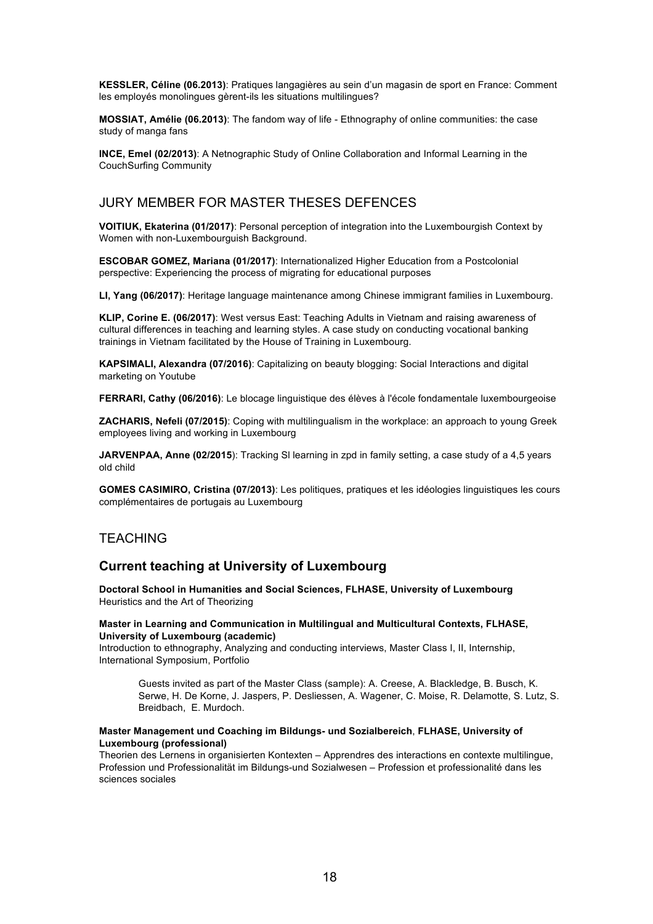**KESSLER, Céline (06.2013)**: Pratiques langagières au sein d'un magasin de sport en France: Comment les employés monolingues gèrent-ils les situations multilingues?

**MOSSIAT, Amélie (06.2013)**: The fandom way of life - Ethnography of online communities: the case study of manga fans

**INCE, Emel (02/2013)**: A Netnographic Study of Online Collaboration and Informal Learning in the CouchSurfing Community

## JURY MEMBER FOR MASTER THESES DEFENCES

**VOITIUK, Ekaterina (01/2017)**: Personal perception of integration into the Luxembourgish Context by Women with non-Luxembourguish Background.

**ESCOBAR GOMEZ, Mariana (01/2017)**: Internationalized Higher Education from a Postcolonial perspective: Experiencing the process of migrating for educational purposes

**LI, Yang (06/2017)**: Heritage language maintenance among Chinese immigrant families in Luxembourg.

**KLIP, Corine E. (06/2017)**: West versus East: Teaching Adults in Vietnam and raising awareness of cultural differences in teaching and learning styles. A case study on conducting vocational banking trainings in Vietnam facilitated by the House of Training in Luxembourg.

**KAPSIMALI, Alexandra (07/2016)**: Capitalizing on beauty blogging: Social Interactions and digital marketing on Youtube

**FERRARI, Cathy (06/2016)**: Le blocage linguistique des élèves à l'école fondamentale luxembourgeoise

**ZACHARIS, Nefeli (07/2015)**: Coping with multilingualism in the workplace: an approach to young Greek employees living and working in Luxembourg

**JARVENPAA, Anne (02/2015**): Tracking Sl learning in zpd in family setting, a case study of a 4,5 years old child

**GOMES CASIMIRO, Cristina (07/2013)**: Les politiques, pratiques et les idéologies linguistiques les cours complémentaires de portugais au Luxembourg

## **TEACHING**

### **Current teaching at University of Luxembourg**

**Doctoral School in Humanities and Social Sciences, FLHASE, University of Luxembourg**  Heuristics and the Art of Theorizing

#### **Master in Learning and Communication in Multilingual and Multicultural Contexts, FLHASE, University of Luxembourg (academic)**

Introduction to ethnography, Analyzing and conducting interviews, Master Class I, II, Internship, International Symposium, Portfolio

Guests invited as part of the Master Class (sample): A. Creese, A. Blackledge, B. Busch, K. Serwe, H. De Korne, J. Jaspers, P. Desliessen, A. Wagener, C. Moise, R. Delamotte, S. Lutz, S. Breidbach, E. Murdoch.

### **Master Management und Coaching im Bildungs- und Sozialbereich**, **FLHASE, University of Luxembourg (professional)**

Theorien des Lernens in organisierten Kontexten – Apprendres des interactions en contexte multilingue, Profession und Professionalität im Bildungs-und Sozialwesen – Profession et professionalité dans les sciences sociales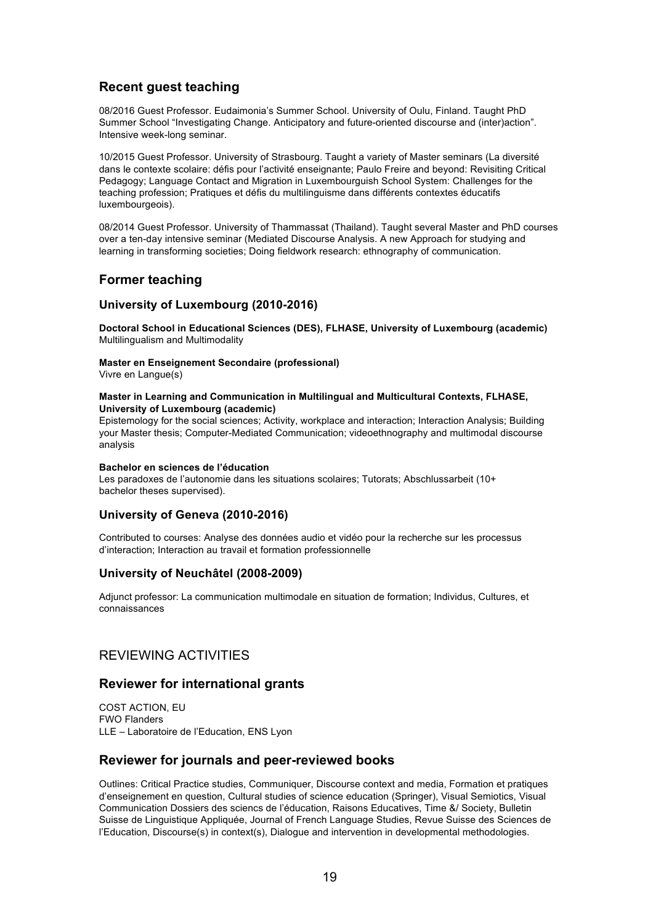## **Recent guest teaching**

08/2016 Guest Professor. Eudaimonia's Summer School. University of Oulu, Finland. Taught PhD Summer School "Investigating Change. Anticipatory and future-oriented discourse and (inter)action". Intensive week-long seminar.

10/2015 Guest Professor. University of Strasbourg. Taught a variety of Master seminars (La diversité dans le contexte scolaire: défis pour l'activité enseignante; Paulo Freire and beyond: Revisiting Critical Pedagogy; Language Contact and Migration in Luxembourguish School System: Challenges for the teaching profession; Pratiques et défis du multilinguisme dans différents contextes éducatifs luxembourgeois).

08/2014 Guest Professor. University of Thammassat (Thailand). Taught several Master and PhD courses over a ten-day intensive seminar (Mediated Discourse Analysis. A new Approach for studying and learning in transforming societies; Doing fieldwork research: ethnography of communication.

## **Former teaching**

### **University of Luxembourg (2010-2016)**

**Doctoral School in Educational Sciences (DES), FLHASE, University of Luxembourg (academic)** Multilingualism and Multimodality

### **Master en Enseignement Secondaire (professional)**

Vivre en Langue(s)

#### **Master in Learning and Communication in Multilingual and Multicultural Contexts, FLHASE, University of Luxembourg (academic)**

Epistemology for the social sciences; Activity, workplace and interaction; Interaction Analysis; Building your Master thesis; Computer-Mediated Communication; videoethnography and multimodal discourse analysis

### **Bachelor en sciences de l'éducation**

Les paradoxes de l'autonomie dans les situations scolaires; Tutorats; Abschlussarbeit (10+ bachelor theses supervised).

### **University of Geneva (2010-2016)**

Contributed to courses: Analyse des données audio et vidéo pour la recherche sur les processus d'interaction; Interaction au travail et formation professionnelle

### **University of Neuchâtel (2008-2009)**

Adjunct professor: La communication multimodale en situation de formation; Individus, Cultures, et connaissances

## REVIEWING ACTIVITIES

### **Reviewer for international grants**

COST ACTION, EU FWO Flanders LLE – Laboratoire de l'Education, ENS Lyon

## **Reviewer for journals and peer-reviewed books**

Outlines: Critical Practice studies, Communiquer, Discourse context and media, Formation et pratiques d'enseignement en question, Cultural studies of science education (Springer), Visual Semiotics, Visual Communication Dossiers des sciencs de l'éducation, Raisons Educatives, Time &/ Society, Bulletin Suisse de Linguistique Appliquée, Journal of French Language Studies, Revue Suisse des Sciences de l'Education, Discourse(s) in context(s), Dialogue and intervention in developmental methodologies.